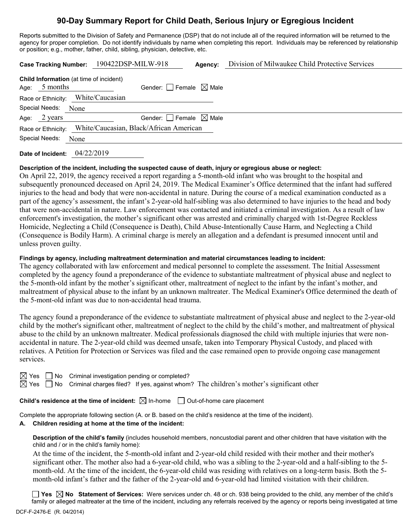# **90-Day Summary Report for Child Death, Serious Injury or Egregious Incident**

Reports submitted to the Division of Safety and Permanence (DSP) that do not include all of the required information will be returned to the agency for proper completion. Do not identify individuals by name when completing this report. Individuals may be referenced by relationship or position; e.g., mother, father, child, sibling, physician, detective, etc.

| Case Tracking Number: 190422DSP-MILW-918                           |            |                 |                                        | Agency: | Division of Milwaukee Child Protective Services |
|--------------------------------------------------------------------|------------|-----------------|----------------------------------------|---------|-------------------------------------------------|
| <b>Child Information</b> (at time of incident)<br>5 months<br>Age: |            |                 | Gender: Female $\boxtimes$ Male        |         |                                                 |
| Race or Ethnicity:                                                 |            | White/Caucasian |                                        |         |                                                 |
| Special Needs:                                                     | None       |                 |                                        |         |                                                 |
| Age: $2 \text{ years}$                                             |            |                 | Gender: $\Box$ Female $\boxtimes$ Male |         |                                                 |
| Race or Ethnicity: White/Caucasian, Black/African American         |            |                 |                                        |         |                                                 |
| Special Needs:                                                     | None       |                 |                                        |         |                                                 |
| Date of Incident:                                                  | 04/22/2019 |                 |                                        |         |                                                 |

#### **Description of the incident, including the suspected cause of death, injury or egregious abuse or neglect:**

On April 22, 2019, the agency received a report regarding a 5-month-old infant who was brought to the hospital and subsequently pronounced deceased on April 24, 2019. The Medical Examiner's Office determined that the infant had suffered injuries to the head and body that were non-accidental in nature. During the course of a medical examination conducted as a part of the agency's assessment, the infant's 2-year-old half-sibling was also determined to have injuries to the head and body that were non-accidental in nature. Law enforcement was contacted and initiated a criminal investigation. As a result of law enforcement's investigation, the mother's significant other was arrested and criminally charged with 1st-Degree Reckless Homicide, Neglecting a Child (Consequence is Death), Child Abuse-Intentionally Cause Harm, and Neglecting a Child (Consequence is Bodily Harm). A criminal charge is merely an allegation and a defendant is presumed innocent until and unless proven guilty.

#### **Findings by agency, including maltreatment determination and material circumstances leading to incident:**

The agency collaborated with law enforcement and medical personnel to complete the assessment. The Initial Assessment completed by the agency found a preponderance of the evidence to substantiate maltreatment of physical abuse and neglect to the 5-month-old infant by the mother's significant other, maltreatment of neglect to the infant by the infant's mother, and maltreatment of physical abuse to the infant by an unknown maltreater. The Medical Examiner's Office determined the death of the 5-mont-old infant was due to non-accidental head trauma.

The agency found a preponderance of the evidence to substantiate maltreatment of physical abuse and neglect to the 2-year-old child by the mother's significant other, maltreatment of neglect to the child by the child's mother, and maltreatment of physical abuse to the child by an unknown maltreater. Medical professionals diagnosed the child with multiple injuries that were nonaccidental in nature. The 2-year-old child was deemed unsafe, taken into Temporary Physical Custody, and placed with relatives. A Petition for Protection or Services was filed and the case remained open to provide ongoing case management services.

 $\Box$  No Criminal investigation pending or completed?

 $\boxtimes$  Yes  $\Box$  No Criminal charges filed? If yes, against whom? The children's mother's significant other

**Child's residence at the time of incident:**  $\boxtimes$  In-home  $\Box$  Out-of-home care placement

Complete the appropriate following section (A. or B. based on the child's residence at the time of the incident).

#### **A. Children residing at home at the time of the incident:**

**Description of the child's family** (includes household members, noncustodial parent and other children that have visitation with the child and / or in the child's family home):

At the time of the incident, the 5-month-old infant and 2-year-old child resided with their mother and their mother's significant other. The mother also had a 6-year-old child, who was a sibling to the 2-year-old and a half-sibling to the 5 month-old. At the time of the incident, the 6-year-old child was residing with relatives on a long-term basis. Both the 5 month-old infant's father and the father of the 2-year-old and 6-year-old had limited visitation with their children.

**Yes No Statement of Services:** Were services under ch. 48 or ch. 938 being provided to the child, any member of the child's family or alleged maltreater at the time of the incident, including any referrals received by the agency or reports being investigated at time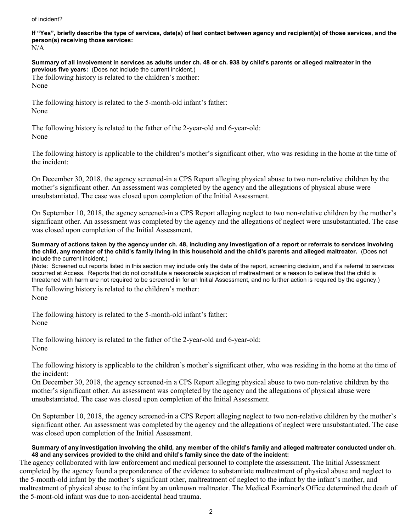#### of incident?

**If "Yes", briefly describe the type of services, date(s) of last contact between agency and recipient(s) of those services, and the person(s) receiving those services:**

N/A

**Summary of all involvement in services as adults under ch. 48 or ch. 938 by child's parents or alleged maltreater in the previous five years:** (Does not include the current incident.) The following history is related to the children's mother: None

The following history is related to the 5-month-old infant's father: None

The following history is related to the father of the 2-year-old and 6-year-old: None

The following history is applicable to the children's mother's significant other, who was residing in the home at the time of the incident:

On December 30, 2018, the agency screened-in a CPS Report alleging physical abuse to two non-relative children by the mother's significant other. An assessment was completed by the agency and the allegations of physical abuse were unsubstantiated. The case was closed upon completion of the Initial Assessment.

On September 10, 2018, the agency screened-in a CPS Report alleging neglect to two non-relative children by the mother's significant other. An assessment was completed by the agency and the allegations of neglect were unsubstantiated. The case was closed upon completion of the Initial Assessment.

**Summary of actions taken by the agency under ch. 48, including any investigation of a report or referrals to services involving the child, any member of the child's family living in this household and the child's parents and alleged maltreater.** (Does not include the current incident.)

(Note: Screened out reports listed in this section may include only the date of the report, screening decision, and if a referral to services occurred at Access. Reports that do not constitute a reasonable suspicion of maltreatment or a reason to believe that the child is threatened with harm are not required to be screened in for an Initial Assessment, and no further action is required by the agency.)

The following history is related to the children's mother: None

The following history is related to the 5-month-old infant's father: None

The following history is related to the father of the 2-year-old and 6-year-old: None

The following history is applicable to the children's mother's significant other, who was residing in the home at the time of the incident:

On December 30, 2018, the agency screened-in a CPS Report alleging physical abuse to two non-relative children by the mother's significant other. An assessment was completed by the agency and the allegations of physical abuse were unsubstantiated. The case was closed upon completion of the Initial Assessment.

On September 10, 2018, the agency screened-in a CPS Report alleging neglect to two non-relative children by the mother's significant other. An assessment was completed by the agency and the allegations of neglect were unsubstantiated. The case was closed upon completion of the Initial Assessment.

#### **Summary of any investigation involving the child, any member of the child's family and alleged maltreater conducted under ch. 48 and any services provided to the child and child's family since the date of the incident:**

The agency collaborated with law enforcement and medical personnel to complete the assessment. The Initial Assessment completed by the agency found a preponderance of the evidence to substantiate maltreatment of physical abuse and neglect to the 5-month-old infant by the mother's significant other, maltreatment of neglect to the infant by the infant's mother, and maltreatment of physical abuse to the infant by an unknown maltreater. The Medical Examiner's Office determined the death of the 5-mont-old infant was due to non-accidental head trauma.